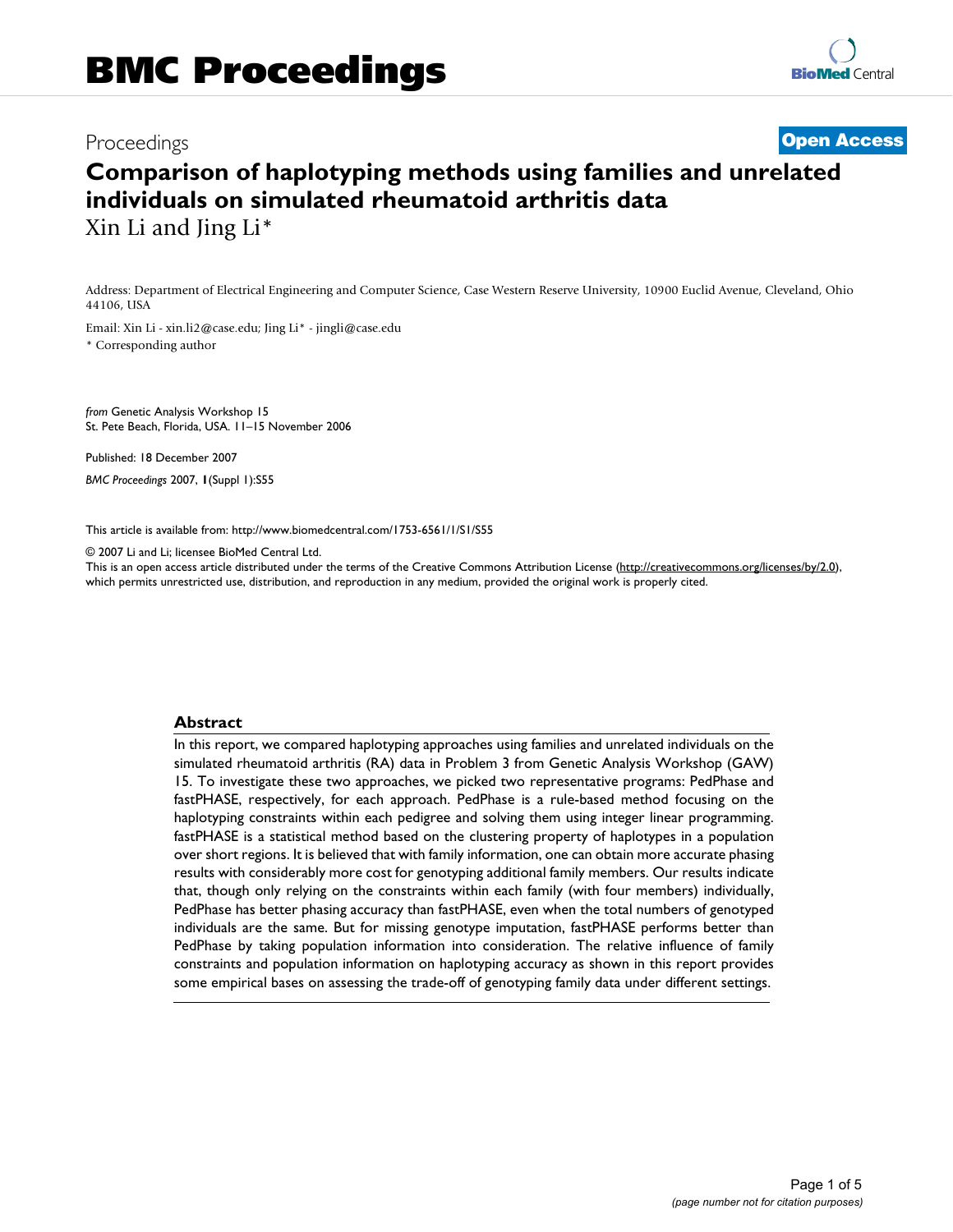# Proceedings **[Open Access](http://www.biomedcentral.com/info/about/charter/)**

# **Comparison of haplotyping methods using families and unrelated individuals on simulated rheumatoid arthritis data** Xin Li and Jing Li\*

Address: Department of Electrical Engineering and Computer Science, Case Western Reserve University, 10900 Euclid Avenue, Cleveland, Ohio 44106, USA

Email: Xin Li - xin.li2@case.edu; Jing Li\* - jingli@case.edu \* Corresponding author

*from* Genetic Analysis Workshop 15 St. Pete Beach, Florida, USA. 11–15 November 2006

Published: 18 December 2007 *BMC Proceedings* 2007, **1**(Suppl 1):S55

[This article is available from: http://www.biomedcentral.com/1753-6561/1/S1/S55](http://www.biomedcentral.com/1753-6561/1/S1/S55)

© 2007 Li and Li; licensee BioMed Central Ltd.

This is an open access article distributed under the terms of the Creative Commons Attribution License [\(http://creativecommons.org/licenses/by/2.0\)](http://creativecommons.org/licenses/by/2.0), which permits unrestricted use, distribution, and reproduction in any medium, provided the original work is properly cited.

#### **Abstract**

In this report, we compared haplotyping approaches using families and unrelated individuals on the simulated rheumatoid arthritis (RA) data in Problem 3 from Genetic Analysis Workshop (GAW) 15. To investigate these two approaches, we picked two representative programs: PedPhase and fastPHASE, respectively, for each approach. PedPhase is a rule-based method focusing on the haplotyping constraints within each pedigree and solving them using integer linear programming. fastPHASE is a statistical method based on the clustering property of haplotypes in a population over short regions. It is believed that with family information, one can obtain more accurate phasing results with considerably more cost for genotyping additional family members. Our results indicate that, though only relying on the constraints within each family (with four members) individually, PedPhase has better phasing accuracy than fastPHASE, even when the total numbers of genotyped individuals are the same. But for missing genotype imputation, fastPHASE performs better than PedPhase by taking population information into consideration. The relative influence of family constraints and population information on haplotyping accuracy as shown in this report provides some empirical bases on assessing the trade-off of genotyping family data under different settings.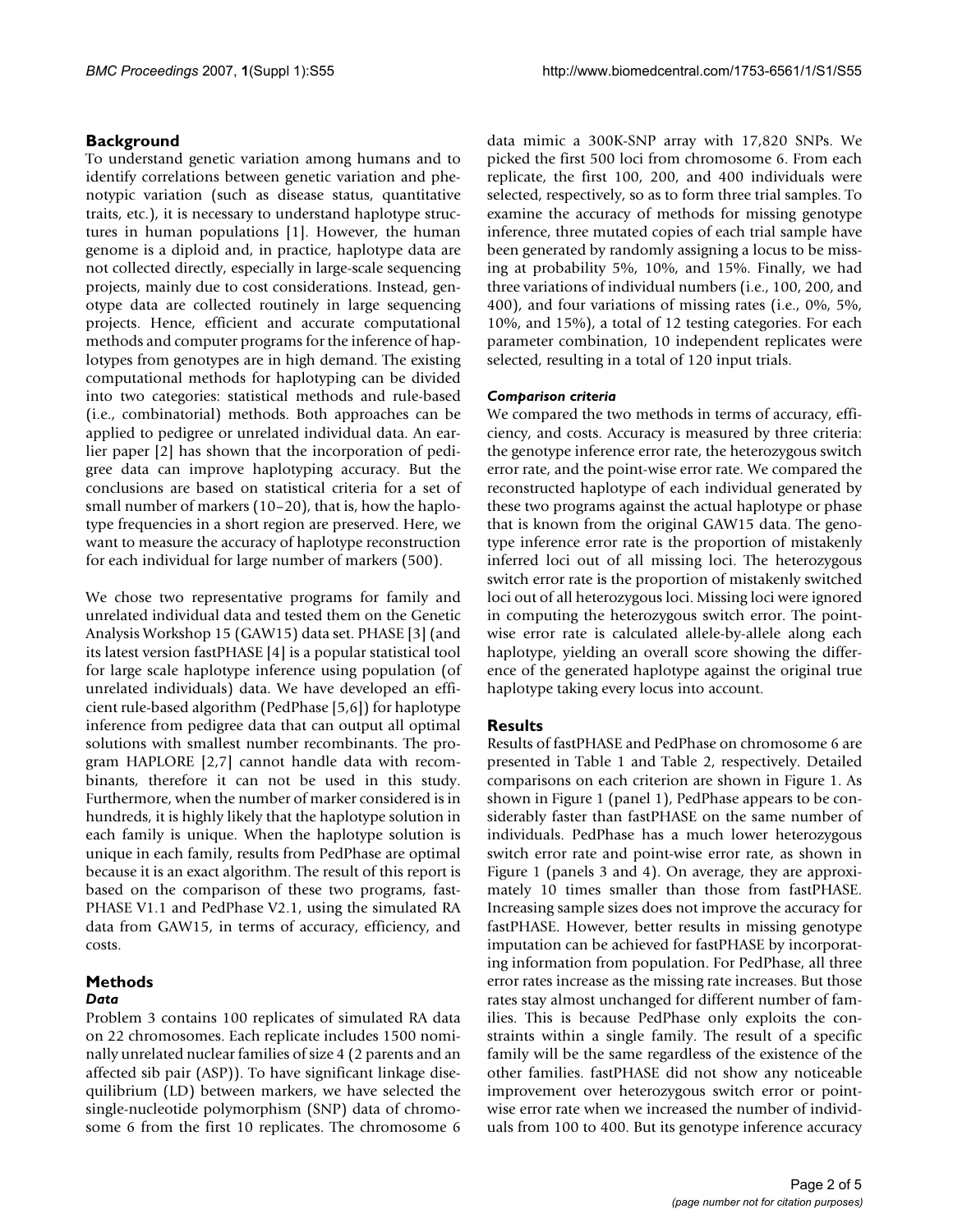### **Background**

To understand genetic variation among humans and to identify correlations between genetic variation and phenotypic variation (such as disease status, quantitative traits, etc.), it is necessary to understand haplotype structures in human populations [1]. However, the human genome is a diploid and, in practice, haplotype data are not collected directly, especially in large-scale sequencing projects, mainly due to cost considerations. Instead, genotype data are collected routinely in large sequencing projects. Hence, efficient and accurate computational methods and computer programs for the inference of haplotypes from genotypes are in high demand. The existing computational methods for haplotyping can be divided into two categories: statistical methods and rule-based (i.e., combinatorial) methods. Both approaches can be applied to pedigree or unrelated individual data. An earlier paper [2] has shown that the incorporation of pedigree data can improve haplotyping accuracy. But the conclusions are based on statistical criteria for a set of small number of markers (10–20), that is, how the haplotype frequencies in a short region are preserved. Here, we want to measure the accuracy of haplotype reconstruction for each individual for large number of markers (500).

We chose two representative programs for family and unrelated individual data and tested them on the Genetic Analysis Workshop 15 (GAW15) data set. PHASE [3] (and its latest version fastPHASE [4] is a popular statistical tool for large scale haplotype inference using population (of unrelated individuals) data. We have developed an efficient rule-based algorithm (PedPhase [5,6]) for haplotype inference from pedigree data that can output all optimal solutions with smallest number recombinants. The program HAPLORE [2,7] cannot handle data with recombinants, therefore it can not be used in this study. Furthermore, when the number of marker considered is in hundreds, it is highly likely that the haplotype solution in each family is unique. When the haplotype solution is unique in each family, results from PedPhase are optimal because it is an exact algorithm. The result of this report is based on the comparison of these two programs, fast-PHASE V1.1 and PedPhase V2.1, using the simulated RA data from GAW15, in terms of accuracy, efficiency, and costs.

## **Methods**

#### *Data*

Problem 3 contains 100 replicates of simulated RA data on 22 chromosomes. Each replicate includes 1500 nominally unrelated nuclear families of size 4 (2 parents and an affected sib pair (ASP)). To have significant linkage disequilibrium (LD) between markers, we have selected the single-nucleotide polymorphism (SNP) data of chromosome 6 from the first 10 replicates. The chromosome 6

data mimic a 300K-SNP array with 17,820 SNPs. We picked the first 500 loci from chromosome 6. From each replicate, the first 100, 200, and 400 individuals were selected, respectively, so as to form three trial samples. To examine the accuracy of methods for missing genotype inference, three mutated copies of each trial sample have been generated by randomly assigning a locus to be missing at probability 5%, 10%, and 15%. Finally, we had three variations of individual numbers (i.e., 100, 200, and 400), and four variations of missing rates (i.e., 0%, 5%, 10%, and 15%), a total of 12 testing categories. For each parameter combination, 10 independent replicates were selected, resulting in a total of 120 input trials.

#### *Comparison criteria*

We compared the two methods in terms of accuracy, efficiency, and costs. Accuracy is measured by three criteria: the genotype inference error rate, the heterozygous switch error rate, and the point-wise error rate. We compared the reconstructed haplotype of each individual generated by these two programs against the actual haplotype or phase that is known from the original GAW15 data. The genotype inference error rate is the proportion of mistakenly inferred loci out of all missing loci. The heterozygous switch error rate is the proportion of mistakenly switched loci out of all heterozygous loci. Missing loci were ignored in computing the heterozygous switch error. The pointwise error rate is calculated allele-by-allele along each haplotype, yielding an overall score showing the difference of the generated haplotype against the original true haplotype taking every locus into account.

#### **Results**

Results of fastPHASE and PedPhase on chromosome 6 are presented in Table 1 and Table 2, respectively. Detailed comparisons on each criterion are shown in Figure 1. As shown in Figure 1 (panel 1), PedPhase appears to be considerably faster than fastPHASE on the same number of individuals. PedPhase has a much lower heterozygous switch error rate and point-wise error rate, as shown in Figure 1 (panels 3 and 4). On average, they are approximately 10 times smaller than those from fastPHASE. Increasing sample sizes does not improve the accuracy for fastPHASE. However, better results in missing genotype imputation can be achieved for fastPHASE by incorporating information from population. For PedPhase, all three error rates increase as the missing rate increases. But those rates stay almost unchanged for different number of families. This is because PedPhase only exploits the constraints within a single family. The result of a specific family will be the same regardless of the existence of the other families. fastPHASE did not show any noticeable improvement over heterozygous switch error or pointwise error rate when we increased the number of individuals from 100 to 400. But its genotype inference accuracy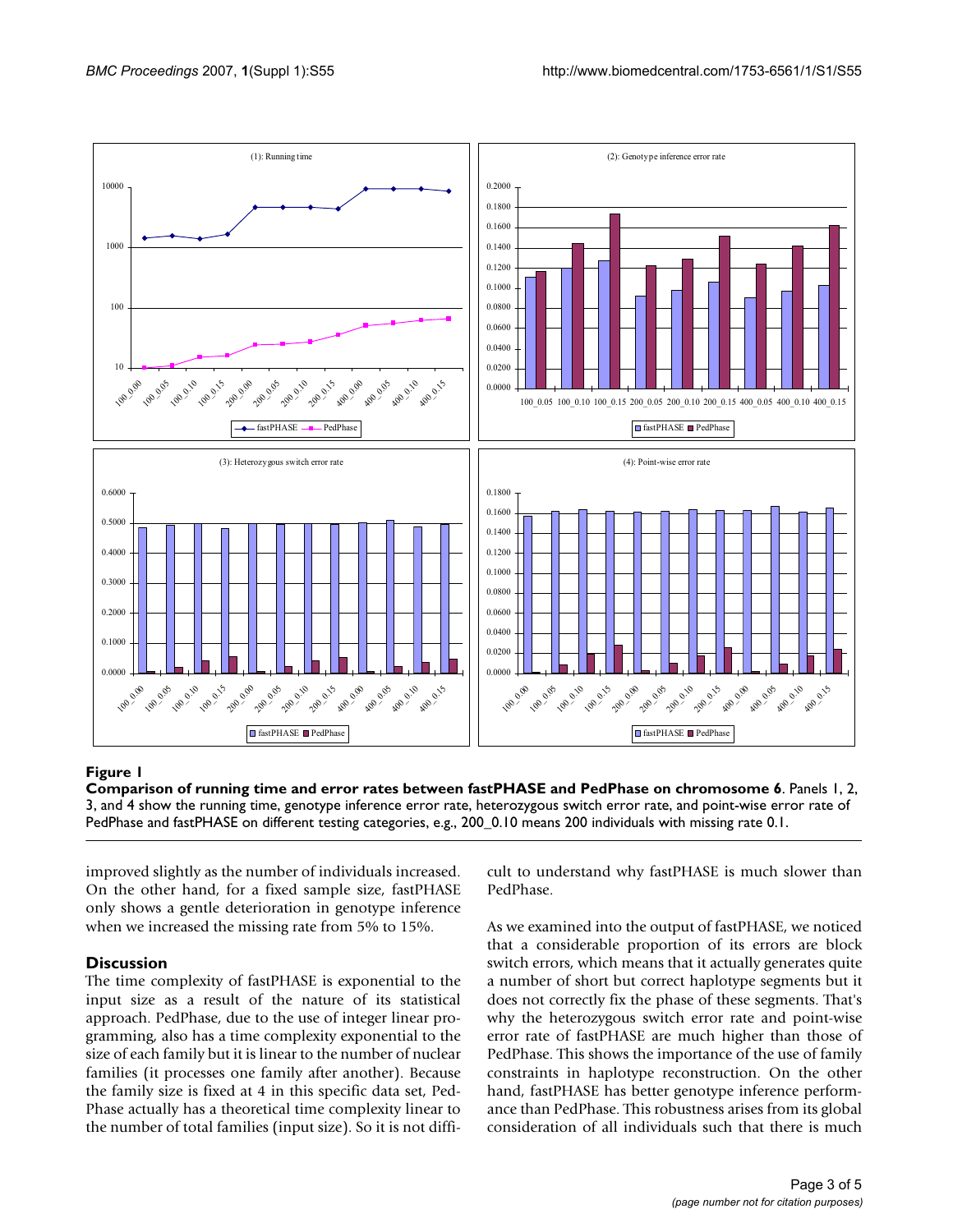

#### Comparison of running time an **Figure 1** d error rates between fastPHASE and PedPhase on chromosome 6

**Comparison of running time and error rates between fastPHASE and PedPhase on chromosome 6**. Panels 1, 2, 3, and 4 show the running time, genotype inference error rate, heterozygous switch error rate, and point-wise error rate of PedPhase and fastPHASE on different testing categories, e.g., 200\_0.10 means 200 individuals with missing rate 0.1.

improved slightly as the number of individuals increased. On the other hand, for a fixed sample size, fastPHASE only shows a gentle deterioration in genotype inference when we increased the missing rate from 5% to 15%.

#### **Discussion**

The time complexity of fastPHASE is exponential to the input size as a result of the nature of its statistical approach. PedPhase, due to the use of integer linear programming, also has a time complexity exponential to the size of each family but it is linear to the number of nuclear families (it processes one family after another). Because the family size is fixed at 4 in this specific data set, Ped-Phase actually has a theoretical time complexity linear to the number of total families (input size). So it is not difficult to understand why fastPHASE is much slower than PedPhase.

As we examined into the output of fastPHASE, we noticed that a considerable proportion of its errors are block switch errors, which means that it actually generates quite a number of short but correct haplotype segments but it does not correctly fix the phase of these segments. That's why the heterozygous switch error rate and point-wise error rate of fastPHASE are much higher than those of PedPhase. This shows the importance of the use of family constraints in haplotype reconstruction. On the other hand, fastPHASE has better genotype inference performance than PedPhase. This robustness arises from its global consideration of all individuals such that there is much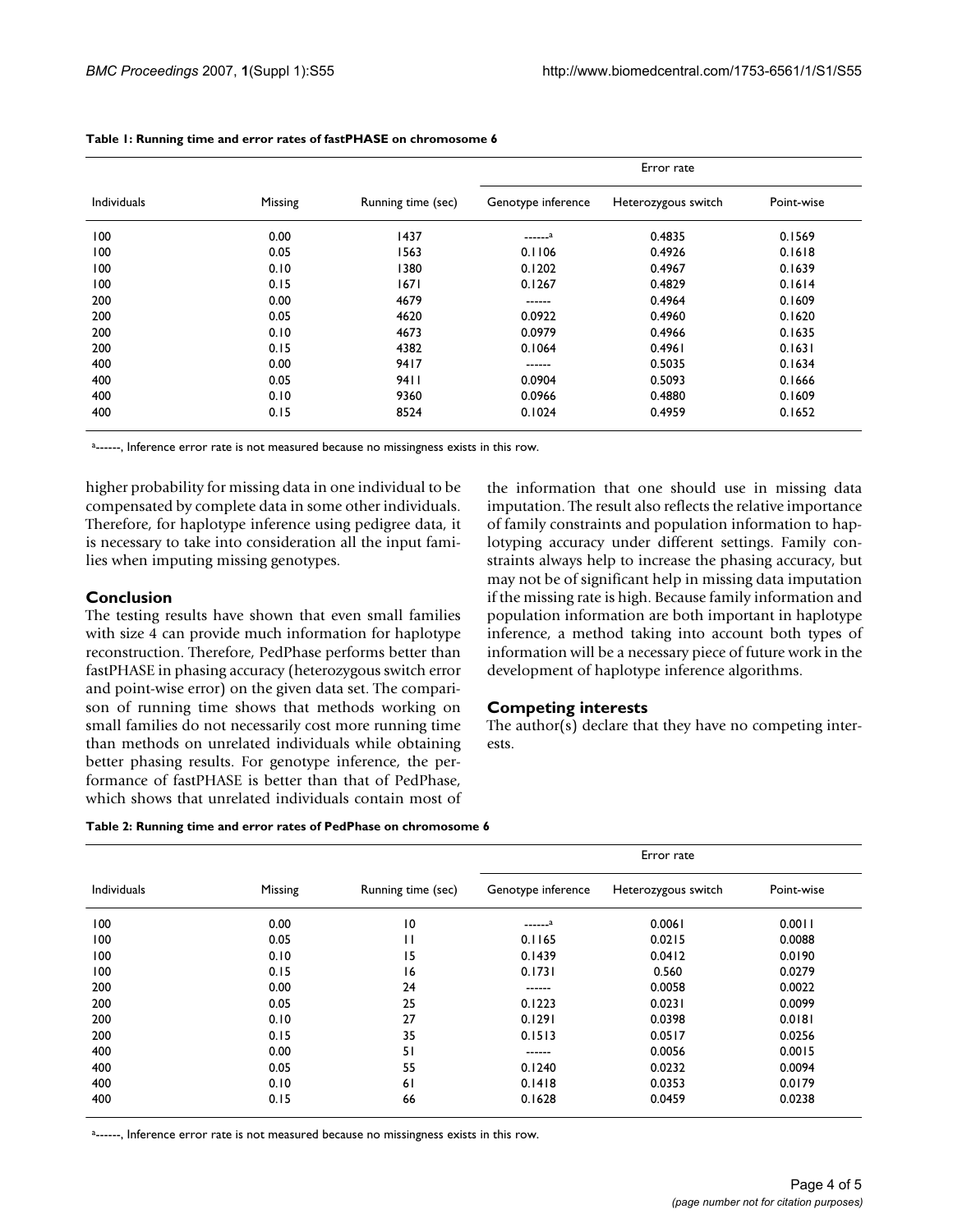|                    | Missing | Running time (sec) | Error rate         |                     |            |
|--------------------|---------|--------------------|--------------------|---------------------|------------|
| <b>Individuals</b> |         |                    | Genotype inference | Heterozygous switch | Point-wise |
| 100                | 0.00    | 1437               | $---a$             | 0.4835              | 0.1569     |
| 100                | 0.05    | 1563               | 0.1106             | 0.4926              | 0.1618     |
| 100                | 0.10    | 1380               | 0.1202             | 0.4967              | 0.1639     |
| 100                | 0.15    | 1671               | 0.1267             | 0.4829              | 0.1614     |
| 200                | 0.00    | 4679               | ------             | 0.4964              | 0.1609     |
| 200                | 0.05    | 4620               | 0.0922             | 0.4960              | 0.1620     |
| 200                | 0.10    | 4673               | 0.0979             | 0.4966              | 0.1635     |
| 200                | 0.15    | 4382               | 0.1064             | 0.4961              | 0.1631     |
| 400                | 0.00    | 9417               | ------             | 0.5035              | 0.1634     |
| 400                | 0.05    | 9411               | 0.0904             | 0.5093              | 0.1666     |
| 400                | 0.10    | 9360               | 0.0966             | 0.4880              | 0.1609     |
| 400                | 0.15    | 8524               | 0.1024             | 0.4959              | 0.1652     |

#### **Table 1: Running time and error rates of fastPHASE on chromosome 6**

a------, Inference error rate is not measured because no missingness exists in this row.

higher probability for missing data in one individual to be compensated by complete data in some other individuals. Therefore, for haplotype inference using pedigree data, it is necessary to take into consideration all the input families when imputing missing genotypes.

#### **Conclusion**

The testing results have shown that even small families with size 4 can provide much information for haplotype reconstruction. Therefore, PedPhase performs better than fastPHASE in phasing accuracy (heterozygous switch error and point-wise error) on the given data set. The comparison of running time shows that methods working on small families do not necessarily cost more running time than methods on unrelated individuals while obtaining better phasing results. For genotype inference, the performance of fastPHASE is better than that of PedPhase, which shows that unrelated individuals contain most of the information that one should use in missing data imputation. The result also reflects the relative importance of family constraints and population information to haplotyping accuracy under different settings. Family constraints always help to increase the phasing accuracy, but may not be of significant help in missing data imputation if the missing rate is high. Because family information and population information are both important in haplotype inference, a method taking into account both types of information will be a necessary piece of future work in the development of haplotype inference algorithms.

#### **Competing interests**

The author(s) declare that they have no competing interests.

| <b>Individuals</b> | Missing | Running time (sec) | Error rate         |                     |            |
|--------------------|---------|--------------------|--------------------|---------------------|------------|
|                    |         |                    | Genotype inference | Heterozygous switch | Point-wise |
| 100                | 0.00    | $\overline{10}$    | $---a$             | 0.0061              | 0.0011     |
| 100                | 0.05    | П                  | 0.1165             | 0.0215              | 0.0088     |
| 100                | 0.10    | 15                 | 0.1439             | 0.0412              | 0.0190     |
| 100                | 0.15    | 16                 | 0.1731             | 0.560               | 0.0279     |
| 200                | 0.00    | 24                 | ------             | 0.0058              | 0.0022     |
| 200                | 0.05    | 25                 | 0.1223             | 0.0231              | 0.0099     |
| 200                | 0.10    | 27                 | 0.1291             | 0.0398              | 0.0181     |
| 200                | 0.15    | 35                 | 0.1513             | 0.0517              | 0.0256     |
| 400                | 0.00    | 51                 | ------             | 0.0056              | 0.0015     |
| 400                | 0.05    | 55                 | 0.1240             | 0.0232              | 0.0094     |
| 400                | 0.10    | 61                 | 0.1418             | 0.0353              | 0.0179     |
| 400                | 0.15    | 66                 | 0.1628             | 0.0459              | 0.0238     |

a------, Inference error rate is not measured because no missingness exists in this row.